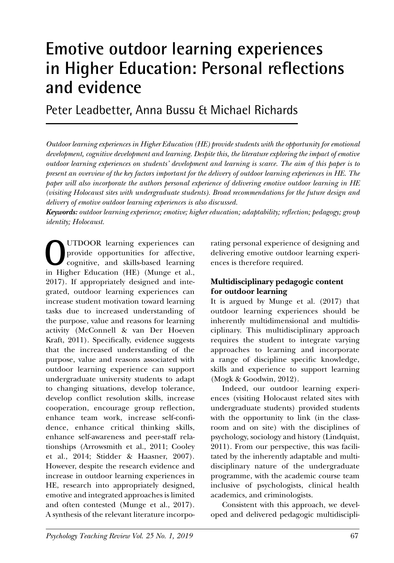# **Emotive outdoor learning experiences in Higher Education: Personal reflections and evidence**

Peter Leadbetter, Anna Bussu & Michael Richards

*Outdoor learning experiences in Higher Education (HE) provide students with the opportunity for emotional development, cognitive development and learning. Despite this, the literature exploring the impact of emotive outdoor learning experiences on students' development and learning is scarce. The aim of this paper is to present an overview of the key factors important for the delivery of outdoor learning experiences in HE. The paper will also incorporate the authors personal experience of delivering emotive outdoor learning in HE (visiting Holocaust sites with undergraduate students). Broad recommendations for the future design and delivery of emotive outdoor learning experiences is also discussed.* 

*Keywords: outdoor learning experience; emotive; higher education; adaptability; reflection; pedagogy; group identity; Holocaust.*

**O**UTDOOR learning experiences can<br>provide opportunities for affective,<br>cognitive, and skills-based learning<br>in Higher Education (HE) (Munge et al. provide opportunities for affective, cognitive, and skills-based learning in Higher Education (HE) (Munge et al., 2017). If appropriately designed and integrated, outdoor learning experiences can increase student motivation toward learning tasks due to increased understanding of the purpose, value and reasons for learning activity (McConnell & van Der Hoeven Kraft, 2011). Specifically, evidence suggests that the increased understanding of the purpose, value and reasons associated with outdoor learning experience can support undergraduate university students to adapt to changing situations, develop tolerance, develop conflict resolution skills, increase cooperation, encourage group reflection, enhance team work, increase self-confidence, enhance critical thinking skills, enhance self-awareness and peer-staff relationships (Arrowsmith et al., 2011; Cooley et al., 2014; Stidder & Haasner, 2007). However, despite the research evidence and increase in outdoor learning experiences in HE, research into appropriately designed, emotive and integrated approaches is limited and often contested (Munge et al., 2017). A synthesis of the relevant literature incorpo-

rating personal experience of designing and delivering emotive outdoor learning experiences is therefore required.

#### **Multidisciplinary pedagogic content for outdoor learning**

It is argued by Munge et al. (2017) that outdoor learning experiences should be inherently multidimensional and multidisciplinary. This multidisciplinary approach requires the student to integrate varying approaches to learning and incorporate a range of discipline specific knowledge, skills and experience to support learning (Mogk & Goodwin, 2012).

Indeed, our outdoor learning experiences (visiting Holocaust related sites with undergraduate students) provided students with the opportunity to link (in the classroom and on site) with the disciplines of psychology, sociology and history (Lindquist, 2011). From our perspective, this was facilitated by the inherently adaptable and multidisciplinary nature of the undergraduate programme, with the academic course team inclusive of psychologists, clinical health academics, and criminologists.

Consistent with this approach, we developed and delivered pedagogic multidiscipli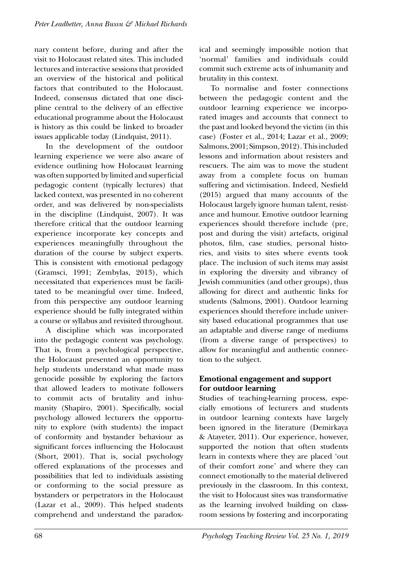nary content before, during and after the visit to Holocaust related sites. This included lectures and interactive sessions that provided an overview of the historical and political factors that contributed to the Holocaust. Indeed, consensus dictated that one discipline central to the delivery of an effective educational programme about the Holocaust is history as this could be linked to broader issues applicable today (Lindquist, 2011).

In the development of the outdoor learning experience we were also aware of evidence outlining how Holocaust learning was often supported by limited and superficial pedagogic content (typically lectures) that lacked context, was presented in no coherent order, and was delivered by non-specialists in the discipline (Lindquist, 2007). It was therefore critical that the outdoor learning experience incorporate key concepts and experiences meaningfully throughout the duration of the course by subject experts. This is consistent with emotional pedagogy (Gramsci, 1991; Zembylas, 2013), which necessitated that experiences must be facilitated to be meaningful over time. Indeed, from this perspective any outdoor learning experience should be fully integrated within a course or syllabus and revisited throughout.

A discipline which was incorporated into the pedagogic content was psychology. That is, from a psychological perspective, the Holocaust presented an opportunity to help students understand what made mass genocide possible by exploring the factors that allowed leaders to motivate followers to commit acts of brutality and inhumanity (Shapiro, 2001). Specifically, social psychology allowed lecturers the opportunity to explore (with students) the impact of conformity and bystander behaviour as significant forces influencing the Holocaust (Short, 2001). That is, social psychology offered explanations of the processes and possibilities that led to individuals assisting or conforming to the social pressure as bystanders or perpetrators in the Holocaust (Lazar et al., 2009). This helped students comprehend and understand the paradoxical and seemingly impossible notion that 'normal' families and individuals could commit such extreme acts of inhumanity and brutality in this context.

To normalise and foster connections between the pedagogic content and the outdoor learning experience we incorporated images and accounts that connect to the past and looked beyond the victim (in this case) (Foster et al., 2014; Lazar et al., 2009; Salmons, 2001; Simpson, 2012). This included lessons and information about resisters and rescuers. The aim was to move the student away from a complete focus on human suffering and victimisation. Indeed, Nesfield (2015) argued that many accounts of the Holocaust largely ignore human talent, resistance and humour. Emotive outdoor learning experiences should therefore include (pre, post and during the visit) artefacts, original photos, film, case studies, personal histories, and visits to sites where events took place. The inclusion of such items may assist in exploring the diversity and vibrancy of Jewish communities (and other groups), thus allowing for direct and authentic links for students (Salmons, 2001). Outdoor learning experiences should therefore include university based educational programmes that use an adaptable and diverse range of mediums (from a diverse range of perspectives) to allow for meaningful and authentic connection to the subject.

## **Emotional engagement and support for outdoor learning**

Studies of teaching-learning process, especially emotions of lecturers and students in outdoor learning contexts have largely been ignored in the literature (Demirkaya & Atayeter, 2011). Our experience, however, supported the notion that often students learn in contexts where they are placed 'out of their comfort zone' and where they can connect emotionally to the material delivered previously in the classroom. In this context, the visit to Holocaust sites was transformative as the learning involved building on classroom sessions by fostering and incorporating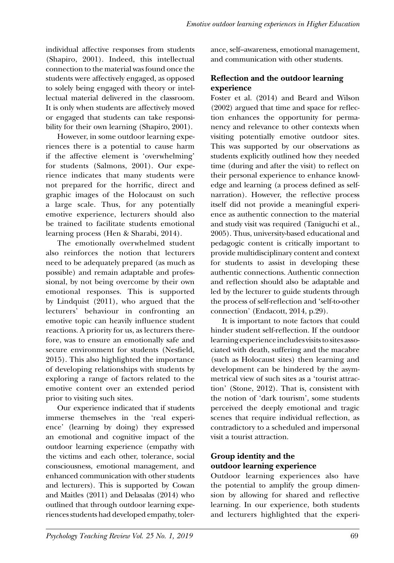individual affective responses from students (Shapiro, 2001). Indeed, this intellectual connection to the material was found once the students were affectively engaged, as opposed to solely being engaged with theory or intellectual material delivered in the classroom. It is only when students are affectively moved or engaged that students can take responsibility for their own learning (Shapiro, 2001).

However, in some outdoor learning experiences there is a potential to cause harm if the affective element is 'overwhelming' for students (Salmons, 2001). Our experience indicates that many students were not prepared for the horrific, direct and graphic images of the Holocaust on such a large scale. Thus, for any potentially emotive experience, lecturers should also be trained to facilitate students emotional learning process (Hen & Sharabi, 2014).

The emotionally overwhelmed student also reinforces the notion that lecturers need to be adequately prepared (as much as possible) and remain adaptable and professional, by not being overcome by their own emotional responses. This is supported by Lindquist (2011), who argued that the lecturers' behaviour in confronting an emotive topic can heavily influence student reactions. A priority for us, as lecturers therefore, was to ensure an emotionally safe and secure environment for students (Nesfield, 2015). This also highlighted the importance of developing relationships with students by exploring a range of factors related to the emotive content over an extended period prior to visiting such sites.

Our experience indicated that if students immerse themselves in the 'real experience' (learning by doing) they expressed an emotional and cognitive impact of the outdoor learning experience (empathy with the victims and each other, tolerance, social consciousness, emotional management, and enhanced communication with other students and lecturers). This is supported by Cowan and Maitles (2011) and Delasalas (2014) who outlined that through outdoor learning experiences students had developed empathy, tolerance, self–awareness, emotional management, and communication with other students.

## **Reflection and the outdoor learning experience**

Foster et al. (2014) and Beard and Wilson (2002) argued that time and space for reflection enhances the opportunity for permanency and relevance to other contexts when visiting potentially emotive outdoor sites. This was supported by our observations as students explicitly outlined how they needed time (during and after the visit) to reflect on their personal experience to enhance knowledge and learning (a process defined as selfnarration). However, the reflective process itself did not provide a meaningful experience as authentic connection to the material and study visit was required (Taniguchi et al., 2005). Thus, university-based educational and pedagogic content is critically important to provide multidisciplinary content and context for students to assist in developing these authentic connections. Authentic connection and reflection should also be adaptable and led by the lecturer to guide students through the process of self-reflection and 'self-to-other connection' (Endacott, 2014, p.29).

It is important to note factors that could hinder student self-reflection. If the outdoor learning experience includes visits to sites associated with death, suffering and the macabre (such as Holocaust sites) then learning and development can be hindered by the asymmetrical view of such sites as a 'tourist attraction' (Stone, 2012). That is, consistent with the notion of 'dark tourism', some students perceived the deeply emotional and tragic scenes that require individual reflection, as contradictory to a scheduled and impersonal visit a tourist attraction.

# **Group identity and the outdoor learning experience**

Outdoor learning experiences also have the potential to amplify the group dimension by allowing for shared and reflective learning. In our experience, both students and lecturers highlighted that the experi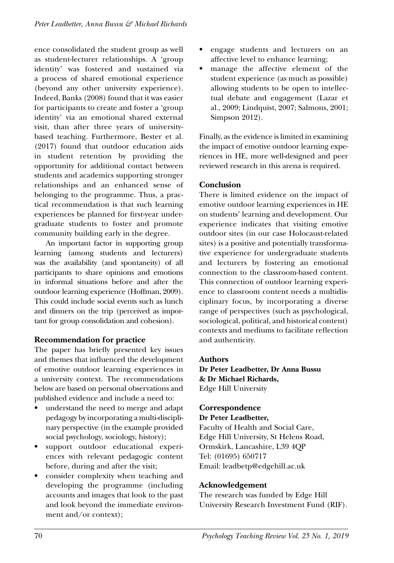ence consolidated the student group as well as student-lecturer relationships. A 'group identity' was fostered and sustained via a process of shared emotional experience (beyond any other university experience). Indeed, Banks (2008) found that it was easier for participants to create and foster a 'group identity' via an emotional shared external visit, than after three years of universitybased teaching. Furthermore, Bester et al. (2017) found that outdoor education aids in student retention by providing the opportunity for additional contact between students and academics supporting stronger relationships and an enhanced sense of belonging to the programme. Thus, a practical recommendation is that such learning experiences be planned for first-year undergraduate students to foster and promote community building early in the degree.

An important factor in supporting group learning (among students and lecturers) was the availability (and spontaneity) of all participants to share opinions and emotions in informal situations before and after the outdoor learning experience (Hoffman, 2009). This could include social events such as lunch and dinners on the trip (perceived as important for group consolidation and cohesion).

## **Recommendation for practice**

The paper has briefly presented key issues and themes that influenced the development of emotive outdoor learning experiences in a university context. The recommendations below are based on personal observations and published evidence and include a need to:

- understand the need to merge and adapt pedagogy by incorporating a multi-disciplinary perspective (in the example provided social psychology, sociology, history);
- support outdoor educational experiences with relevant pedagogic content before, during and after the visit;
- consider complexity when teaching and developing the programme (including accounts and images that look to the past and look beyond the immediate environment and/or context);
- engage students and lecturers on an affective level to enhance learning;
- manage the affective element of the student experience (as much as possible) allowing students to be open to intellectual debate and engagement (Lazar et al., 2009; Lindquist, 2007; Salmons, 2001; Simpson 2012).

Finally, as the evidence is limited in examining the impact of emotive outdoor learning experiences in HE, more well-designed and peer reviewed research in this arena is required.

#### **Conclusion**

There is limited evidence on the impact of emotive outdoor learning experiences in HE on students' learning and development. Our experience indicates that visiting emotive outdoor sites (in our case Holocaust-related sites) is a positive and potentially transformative experience for undergraduate students and lecturers by fostering an emotional connection to the classroom-based content. This connection of outdoor learning experience to classroom content needs a multidisciplinary focus, by incorporating a diverse range of perspectives (such as psychological, sociological, political, and historical content) contexts and mediums to facilitate reflection and authenticity.

#### **Authors**

**Dr Peter Leadbetter, Dr Anna Bussu & Dr Michael Richards,** Edge Hill University

#### **Correspondence**

#### **Dr Peter Leadbetter,**

Faculty of Health and Social Care, Edge Hill University, St Helens Road, Ormskirk, Lancashire, L39 4QP Tel: (01695) 650717 Email: leadbetp@edgehill.ac.uk

## **Acknowledgement**

The research was funded by Edge Hill University Research Investment Fund (RIF).